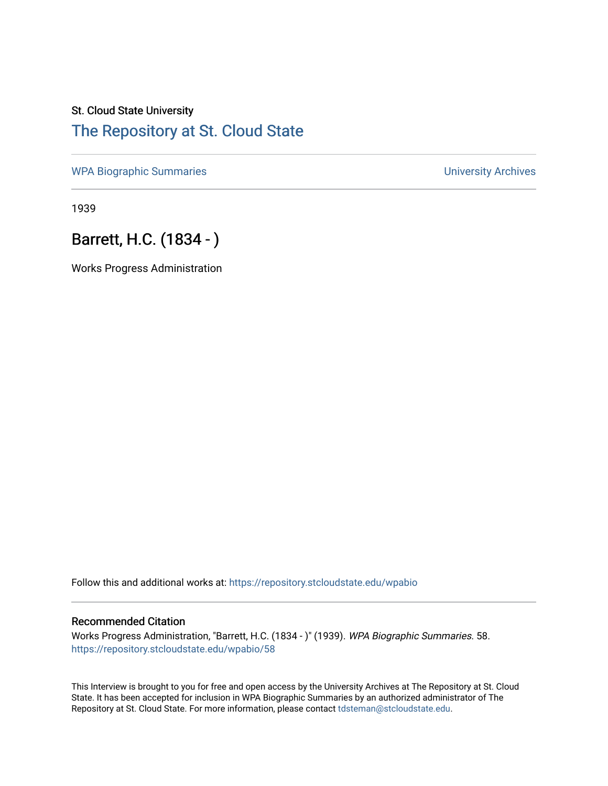## St. Cloud State University [The Repository at St. Cloud State](https://repository.stcloudstate.edu/)

[WPA Biographic Summaries](https://repository.stcloudstate.edu/wpabio) **WPA Biographic Summaries University Archives** 

1939

## Barrett, H.C. (1834 - )

Works Progress Administration

Follow this and additional works at: [https://repository.stcloudstate.edu/wpabio](https://repository.stcloudstate.edu/wpabio?utm_source=repository.stcloudstate.edu%2Fwpabio%2F58&utm_medium=PDF&utm_campaign=PDFCoverPages) 

## Recommended Citation

Works Progress Administration, "Barrett, H.C. (1834 - )" (1939). WPA Biographic Summaries. 58. [https://repository.stcloudstate.edu/wpabio/58](https://repository.stcloudstate.edu/wpabio/58?utm_source=repository.stcloudstate.edu%2Fwpabio%2F58&utm_medium=PDF&utm_campaign=PDFCoverPages)

This Interview is brought to you for free and open access by the University Archives at The Repository at St. Cloud State. It has been accepted for inclusion in WPA Biographic Summaries by an authorized administrator of The Repository at St. Cloud State. For more information, please contact [tdsteman@stcloudstate.edu.](mailto:tdsteman@stcloudstate.edu)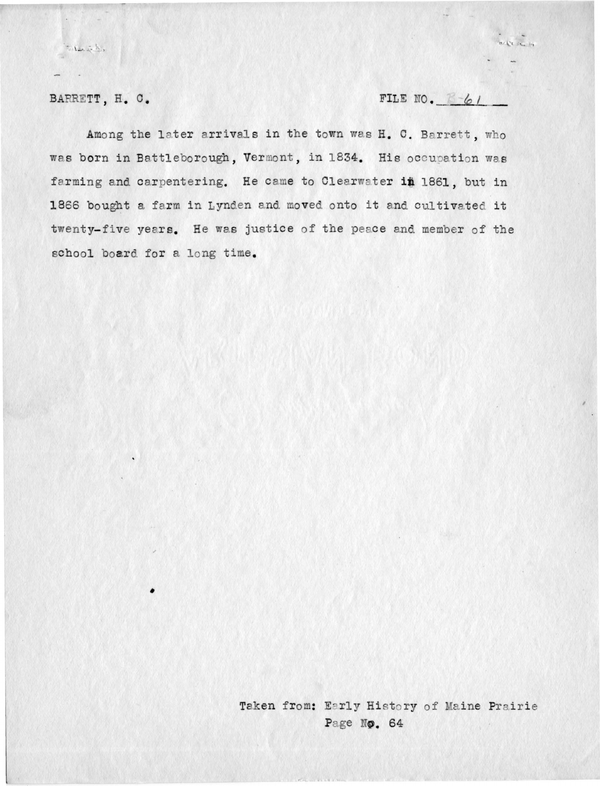BARRETT, H. C.

de sint

FILE NO.  $6/6/$ 

arte se in

Among the later arrivals in the town was H. C. Barrett, who was born in Battleborough, Vermont, in 1834. His occupation was farming and carpentering. He came to Clearwater in 1861, but in 1866 bought a farm in Lynden and moved onto it and cultivated it twenty-five years. He was justice of the peace and member of the school board for a long time.

> Taken from: Early History of Maine Prairie Page No. 64